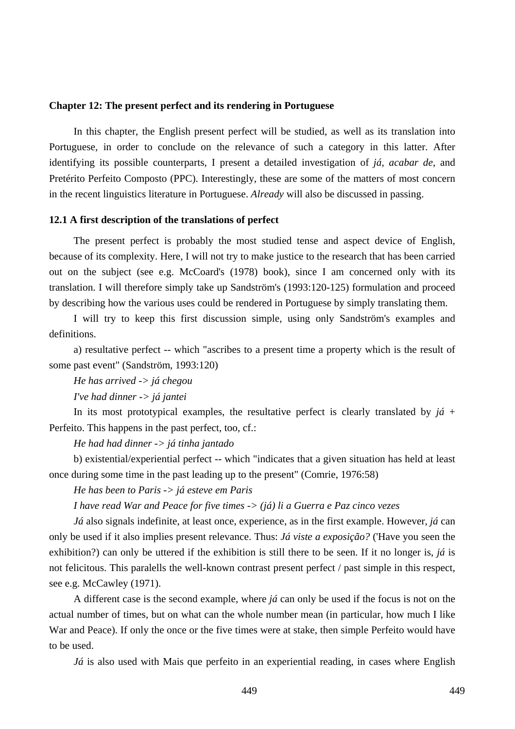#### **Chapter 12: The present perfect and its rendering in Portuguese**

In this chapter, the English present perfect will be studied, as well as its translation into Portuguese, in order to conclude on the relevance of such a category in this latter. After identifying its possible counterparts, I present a detailed investigation of *já*, *acabar de*, and Pretérito Perfeito Composto (PPC). Interestingly, these are some of the matters of most concern in the recent linguistics literature in Portuguese. *Already* will also be discussed in passing.

### **12.1 A first description of the translations of perfect**

The present perfect is probably the most studied tense and aspect device of English, because of its complexity. Here, I will not try to make justice to the research that has been carried out on the subject (see e.g. McCoard's (1978) book), since I am concerned only with its translation. I will therefore simply take up Sandström's (1993:120-125) formulation and proceed by describing how the various uses could be rendered in Portuguese by simply translating them.

I will try to keep this first discussion simple, using only Sandström's examples and definitions.

a) resultative perfect -- which "ascribes to a present time a property which is the result of some past event" (Sandström, 1993:120)

*He has arrived -> já chegou* 

*I've had dinner -> já jantei* 

In its most prototypical examples, the resultative perfect is clearly translated by  $j\acute{a}$  + Perfeito. This happens in the past perfect, too, cf.:

*He had had dinner -> já tinha jantado* 

b) existential/experiential perfect -- which "indicates that a given situation has held at least once during some time in the past leading up to the present" (Comrie, 1976:58)

*He has been to Paris -> já esteve em Paris* 

*I have read War and Peace for five times -> (já) li a Guerra e Paz cinco vezes*

*Já* also signals indefinite, at least once, experience, as in the first example. However, *já* can only be used if it also implies present relevance. Thus: *Já viste a exposição?* ('Have you seen the exhibition?) can only be uttered if the exhibition is still there to be seen. If it no longer is, *já* is not felicitous. This paralells the well-known contrast present perfect / past simple in this respect, see e.g. McCawley (1971).

A different case is the second example, where *já* can only be used if the focus is not on the actual number of times, but on what can the whole number mean (in particular, how much I like War and Peace). If only the once or the five times were at stake, then simple Perfeito would have to be used.

*Já* is also used with Mais que perfeito in an experiential reading, in cases where English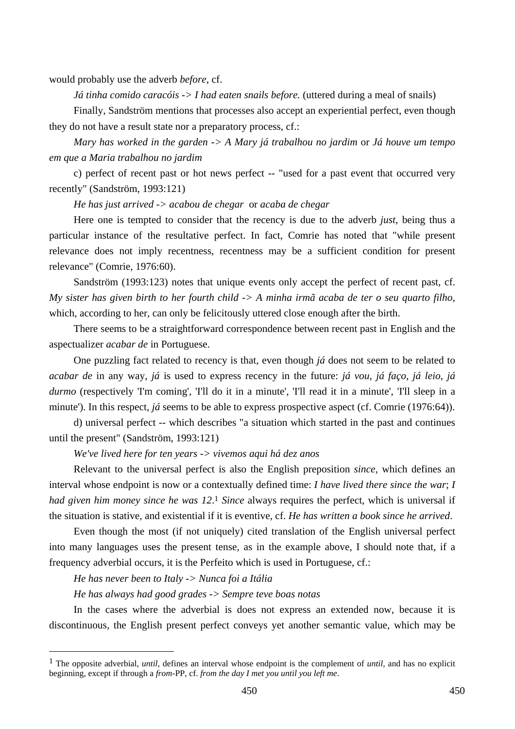would probably use the adverb *before*, cf.

*Já tinha comido caracóis -> I had eaten snails before.* (uttered during a meal of snails)

Finally, Sandström mentions that processes also accept an experiential perfect, even though they do not have a result state nor a preparatory process, cf.:

*Mary has worked in the garden -> A Mary já trabalhou no jardim* or *Já houve um tempo em que a Maria trabalhou no jardim* 

c) perfect of recent past or hot news perfect -- "used for a past event that occurred very recently" (Sandström, 1993:121)

*He has just arrived -> acabou de chegar* or *acaba de chegar*

Here one is tempted to consider that the recency is due to the adverb *just*, being thus a particular instance of the resultative perfect. In fact, Comrie has noted that "while present relevance does not imply recentness, recentness may be a sufficient condition for present relevance" (Comrie, 1976:60).

Sandström (1993:123) notes that unique events only accept the perfect of recent past, cf. *My sister has given birth to her fourth child -> A minha irmã acaba de ter o seu quarto filho*, which, according to her, can only be felicitously uttered close enough after the birth.

There seems to be a straightforward correspondence between recent past in English and the aspectualizer *acabar de* in Portuguese.

One puzzling fact related to recency is that, even though *já* does not seem to be related to *acabar de* in any way, *já* is used to express recency in the future: *já vou*, *já faço*, *já leio*, *já durmo* (respectively 'I'm coming', 'I'll do it in a minute', 'I'll read it in a minute', 'I'll sleep in a minute'). In this respect, *já* seems to be able to express prospective aspect (cf. Comrie (1976:64)).

d) universal perfect -- which describes "a situation which started in the past and continues until the present" (Sandström, 1993:121)

*We've lived here for ten years -> vivemos aqui há dez anos* 

Relevant to the universal perfect is also the English preposition *since*, which defines an interval whose endpoint is now or a contextually defined time: *I have lived there since the war*; *I had given him money since he was 12*.1 *Since* always requires the perfect, which is universal if the situation is stative, and existential if it is eventive, cf. *He has written a book since he arrived*.

Even though the most (if not uniquely) cited translation of the English universal perfect into many languages uses the present tense, as in the example above, I should note that, if a frequency adverbial occurs, it is the Perfeito which is used in Portuguese, cf.:

*He has never been to Italy -> Nunca foi a Itália* 

 $\overline{a}$ 

*He has always had good grades -> Sempre teve boas notas*

In the cases where the adverbial is does not express an extended now, because it is discontinuous, the English present perfect conveys yet another semantic value, which may be

<sup>1</sup> The opposite adverbial, *until*, defines an interval whose endpoint is the complement of *until*, and has no explicit beginning, except if through a *from*-PP, cf. *from the day I met you until you left me*.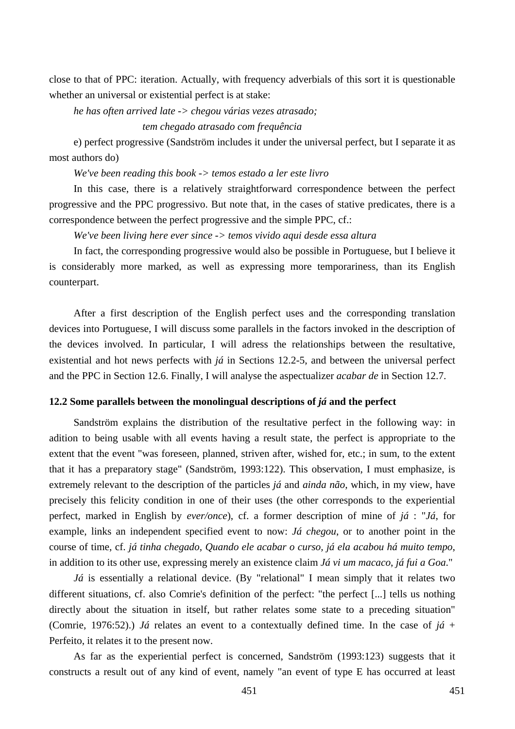close to that of PPC: iteration. Actually, with frequency adverbials of this sort it is questionable whether an universal or existential perfect is at stake:

*he has often arrived late -> chegou várias vezes atrasado;* 

 *tem chegado atrasado com frequência* 

e) perfect progressive (Sandström includes it under the universal perfect, but I separate it as most authors do)

*We've been reading this book -> temos estado a ler este livro* 

In this case, there is a relatively straightforward correspondence between the perfect progressive and the PPC progressivo. But note that, in the cases of stative predicates, there is a correspondence between the perfect progressive and the simple PPC, cf.:

*We've been living here ever since -> temos vivido aqui desde essa altura* 

In fact, the corresponding progressive would also be possible in Portuguese, but I believe it is considerably more marked, as well as expressing more temporariness, than its English counterpart.

After a first description of the English perfect uses and the corresponding translation devices into Portuguese, I will discuss some parallels in the factors invoked in the description of the devices involved. In particular, I will adress the relationships between the resultative, existential and hot news perfects with *já* in Sections 12.2-5, and between the universal perfect and the PPC in Section 12.6. Finally, I will analyse the aspectualizer *acabar de* in Section 12.7.

# **12.2 Some parallels between the monolingual descriptions of** *já* **and the perfect**

Sandström explains the distribution of the resultative perfect in the following way: in adition to being usable with all events having a result state, the perfect is appropriate to the extent that the event "was foreseen, planned, striven after, wished for, etc.; in sum, to the extent that it has a preparatory stage" (Sandström, 1993:122). This observation, I must emphasize, is extremely relevant to the description of the particles *já* and *ainda não*, which, in my view, have precisely this felicity condition in one of their uses (the other corresponds to the experiential perfect, marked in English by *ever/once*), cf. a former description of mine of *já* : "*Já*, for example, links an independent specified event to now: *Já chegou*, or to another point in the course of time, cf. *já tinha chegado*, *Quando ele acabar o curso, já ela acabou há muito tempo*, in addition to its other use, expressing merely an existence claim *Já vi um macaco*, *já fui a Goa*."

*Já* is essentially a relational device. (By "relational" I mean simply that it relates two different situations, cf. also Comrie's definition of the perfect: "the perfect [...] tells us nothing directly about the situation in itself, but rather relates some state to a preceding situation" (Comrie, 1976:52).) *Já* relates an event to a contextually defined time. In the case of *já* + Perfeito, it relates it to the present now.

As far as the experiential perfect is concerned, Sandström (1993:123) suggests that it constructs a result out of any kind of event, namely "an event of type E has occurred at least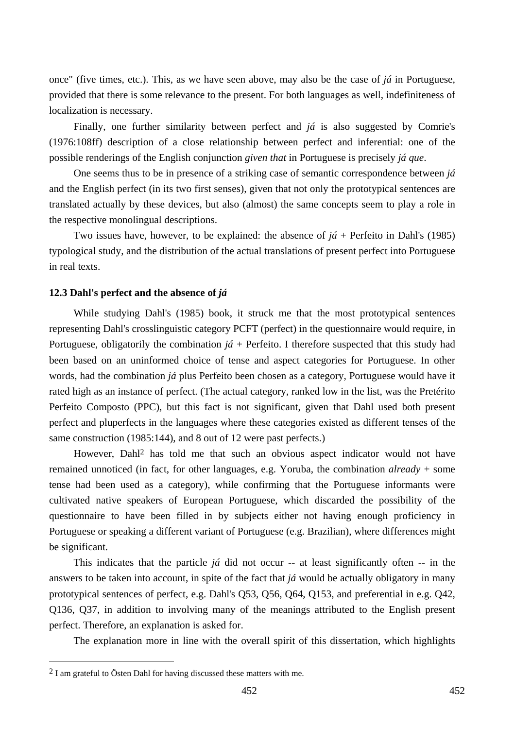once" (five times, etc.). This, as we have seen above, may also be the case of *já* in Portuguese, provided that there is some relevance to the present. For both languages as well, indefiniteness of localization is necessary.

Finally, one further similarity between perfect and *já* is also suggested by Comrie's (1976:108ff) description of a close relationship between perfect and inferential: one of the possible renderings of the English conjunction *given that* in Portuguese is precisely *já que*.

One seems thus to be in presence of a striking case of semantic correspondence between *já* and the English perfect (in its two first senses), given that not only the prototypical sentences are translated actually by these devices, but also (almost) the same concepts seem to play a role in the respective monolingual descriptions.

Two issues have, however, to be explained: the absence of  $j\acute{a}$  + Perfeito in Dahl's (1985) typological study, and the distribution of the actual translations of present perfect into Portuguese in real texts.

### **12.3 Dahl's perfect and the absence of** *já*

While studying Dahl's (1985) book, it struck me that the most prototypical sentences representing Dahl's crosslinguistic category PCFT (perfect) in the questionnaire would require, in Portuguese, obligatorily the combination *já* + Perfeito. I therefore suspected that this study had been based on an uninformed choice of tense and aspect categories for Portuguese. In other words, had the combination *já* plus Perfeito been chosen as a category, Portuguese would have it rated high as an instance of perfect. (The actual category, ranked low in the list, was the Pretérito Perfeito Composto (PPC), but this fact is not significant, given that Dahl used both present perfect and pluperfects in the languages where these categories existed as different tenses of the same construction (1985:144), and 8 out of 12 were past perfects.)

However, Dahl2 has told me that such an obvious aspect indicator would not have remained unnoticed (in fact, for other languages, e.g. Yoruba, the combination *already* + some tense had been used as a category), while confirming that the Portuguese informants were cultivated native speakers of European Portuguese, which discarded the possibility of the questionnaire to have been filled in by subjects either not having enough proficiency in Portuguese or speaking a different variant of Portuguese (e.g. Brazilian), where differences might be significant.

This indicates that the particle *já* did not occur -- at least significantly often -- in the answers to be taken into account, in spite of the fact that *já* would be actually obligatory in many prototypical sentences of perfect, e.g. Dahl's Q53, Q56, Q64, Q153, and preferential in e.g. Q42, Q136, Q37, in addition to involving many of the meanings attributed to the English present perfect. Therefore, an explanation is asked for.

The explanation more in line with the overall spirit of this dissertation, which highlights

<sup>2</sup> I am grateful to Östen Dahl for having discussed these matters with me.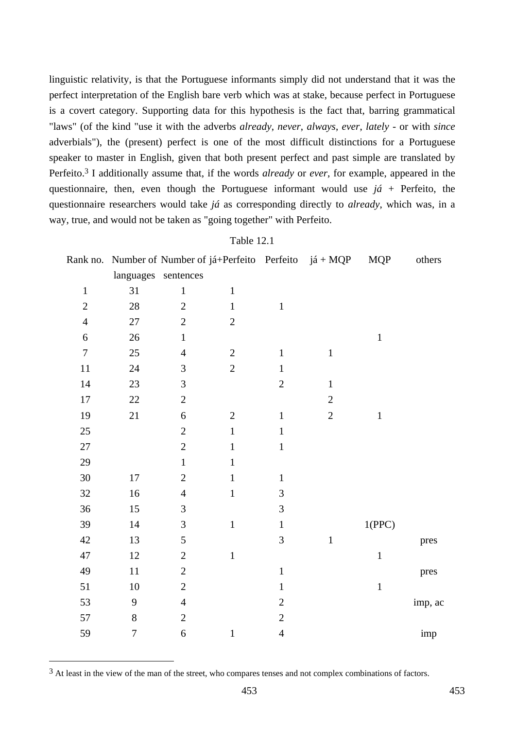linguistic relativity, is that the Portuguese informants simply did not understand that it was the perfect interpretation of the English bare verb which was at stake, because perfect in Portuguese is a covert category. Supporting data for this hypothesis is the fact that, barring grammatical "laws" (of the kind "use it with the adverbs *already*, *never*, *always*, *ever*, *lately* - or with *since* adverbials"), the (present) perfect is one of the most difficult distinctions for a Portuguese speaker to master in English, given that both present perfect and past simple are translated by Perfeito.3 I additionally assume that, if the words *already* or *ever*, for example, appeared in the questionnaire, then, even though the Portuguese informant would use  $j\acute{a}$  + Perfeito, the questionnaire researchers would take *já* as corresponding directly to *already*, which was, in a way, true, and would not be taken as "going together" with Perfeito.

Table 12.1

|                  |        |                     |                |                | Rank no. Number of Number of já+Perfeito Perfeito já + MQP | <b>MQP</b>  | others  |
|------------------|--------|---------------------|----------------|----------------|------------------------------------------------------------|-------------|---------|
|                  |        | languages sentences |                |                |                                                            |             |         |
| $\mathbf{1}$     | 31     | $\mathbf{1}$        | $\mathbf{1}$   |                |                                                            |             |         |
| $\mathbf{2}$     | $28\,$ | $\overline{2}$      | $\mathbf{1}$   | $\,1$          |                                                            |             |         |
| $\overline{4}$   | 27     | $\mathbf{2}$        | $\overline{c}$ |                |                                                            |             |         |
| $\sqrt{6}$       | 26     | $\mathbf{1}$        |                |                |                                                            | $\mathbf 1$ |         |
| $\boldsymbol{7}$ | 25     | $\overline{4}$      | $\mathbf{2}$   | $\mathbf{1}$   | $\,1$                                                      |             |         |
| 11               | $24\,$ | $\mathfrak{Z}$      | $\sqrt{2}$     | $\mathbf{1}$   |                                                            |             |         |
| 14               | 23     | $\mathfrak{Z}$      |                | $\sqrt{2}$     | $\,1$                                                      |             |         |
| 17               | 22     | $\sqrt{2}$          |                |                | $\sqrt{2}$                                                 |             |         |
| 19               | 21     | $\boldsymbol{6}$    | $\mathbf{2}$   | $\mathbf{1}$   | $\mathbf{2}$                                               | $\mathbf 1$ |         |
| 25               |        | $\overline{2}$      | $\mathbf{1}$   | $\,1$          |                                                            |             |         |
| $27\,$           |        | $\overline{2}$      | $\mathbf{1}$   | $\mathbf{1}$   |                                                            |             |         |
| 29               |        | $\mathbf{1}$        | $\mathbf{1}$   |                |                                                            |             |         |
| $30\,$           | 17     | $\mathbf{2}$        | $\mathbf{1}$   | $\,1$          |                                                            |             |         |
| 32               | 16     | $\overline{4}$      | $\mathbf{1}$   | 3              |                                                            |             |         |
| 36               | 15     | $\mathfrak{Z}$      |                | 3              |                                                            |             |         |
| 39               | 14     | 3                   | $\,1\,$        | $\mathbf{1}$   |                                                            | 1(PPC)      |         |
| 42               | 13     | $\mathfrak s$       |                | $\mathfrak{Z}$ | $\,1\,$                                                    |             | pres    |
| 47               | 12     | $\overline{2}$      | $\,1\,$        |                |                                                            | $\,1\,$     |         |
| 49               | $11\,$ | $\mathbf{2}$        |                | $\,1\,$        |                                                            |             | pres    |
| 51               | 10     | $\mathbf{2}$        |                | $\mathbf{1}$   |                                                            | $\mathbf 1$ |         |
| 53               | 9      | $\overline{4}$      |                | $\sqrt{2}$     |                                                            |             | imp, ac |
| 57               | $8\,$  | $\mathbf{2}$        |                | $\sqrt{2}$     |                                                            |             |         |
| 59               | 7      | $\boldsymbol{6}$    | $\mathbf 1$    | $\overline{4}$ |                                                            |             | imp     |

<sup>&</sup>lt;sup>3</sup> At least in the view of the man of the street, who compares tenses and not complex combinations of factors.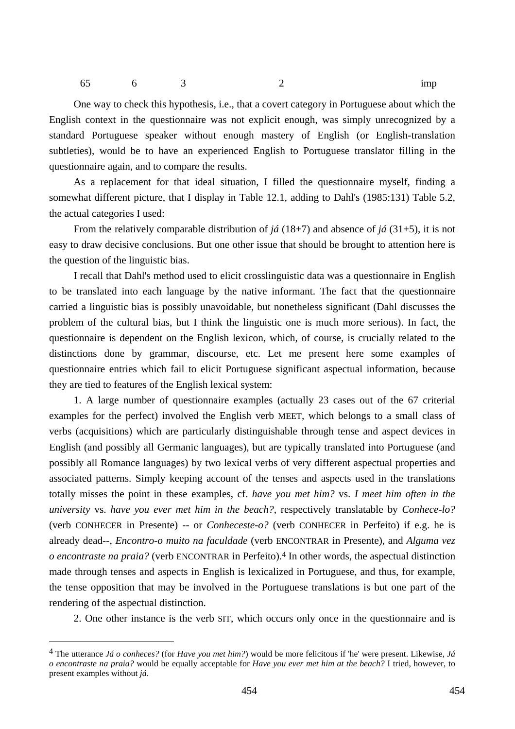65 6 3 2 imp

One way to check this hypothesis, i.e., that a covert category in Portuguese about which the English context in the questionnaire was not explicit enough, was simply unrecognized by a standard Portuguese speaker without enough mastery of English (or English-translation subtleties), would be to have an experienced English to Portuguese translator filling in the questionnaire again, and to compare the results.

As a replacement for that ideal situation, I filled the questionnaire myself, finding a somewhat different picture, that I display in Table 12.1, adding to Dahl's (1985:131) Table 5.2, the actual categories I used:

From the relatively comparable distribution of *já* (18+7) and absence of *já* (31+5), it is not easy to draw decisive conclusions. But one other issue that should be brought to attention here is the question of the linguistic bias.

I recall that Dahl's method used to elicit crosslinguistic data was a questionnaire in English to be translated into each language by the native informant. The fact that the questionnaire carried a linguistic bias is possibly unavoidable, but nonetheless significant (Dahl discusses the problem of the cultural bias, but I think the linguistic one is much more serious). In fact, the questionnaire is dependent on the English lexicon, which, of course, is crucially related to the distinctions done by grammar, discourse, etc. Let me present here some examples of questionnaire entries which fail to elicit Portuguese significant aspectual information, because they are tied to features of the English lexical system:

1. A large number of questionnaire examples (actually 23 cases out of the 67 criterial examples for the perfect) involved the English verb MEET, which belongs to a small class of verbs (acquisitions) which are particularly distinguishable through tense and aspect devices in English (and possibly all Germanic languages), but are typically translated into Portuguese (and possibly all Romance languages) by two lexical verbs of very different aspectual properties and associated patterns. Simply keeping account of the tenses and aspects used in the translations totally misses the point in these examples, cf. *have you met him?* vs. *I meet him often in the university* vs. *have you ever met him in the beach?*, respectively translatable by *Conhece-lo?*  (verb CONHECER in Presente) -- or *Conheceste-o?* (verb CONHECER in Perfeito) if e.g. he is already dead--, *Encontro-o muito na faculdade* (verb ENCONTRAR in Presente), and *Alguma vez o encontraste na praia?* (verb ENCONTRAR in Perfeito).4 In other words, the aspectual distinction made through tenses and aspects in English is lexicalized in Portuguese, and thus, for example, the tense opposition that may be involved in the Portuguese translations is but one part of the rendering of the aspectual distinction.

2. One other instance is the verb SIT, which occurs only once in the questionnaire and is

<sup>4</sup> The utterance *Já o conheces?* (for *Have you met him?*) would be more felicitous if 'he' were present. Likewise, *Já o encontraste na praia?* would be equally acceptable for *Have you ever met him at the beach?* I tried, however, to present examples without *já*.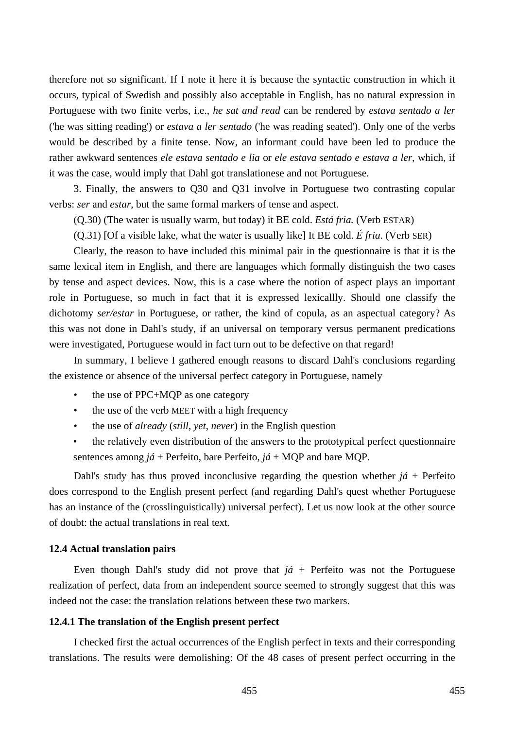therefore not so significant. If I note it here it is because the syntactic construction in which it occurs, typical of Swedish and possibly also acceptable in English, has no natural expression in Portuguese with two finite verbs, i.e., *he sat and read* can be rendered by *estava sentado a ler* ('he was sitting reading') or *estava a ler sentado* ('he was reading seated'). Only one of the verbs would be described by a finite tense. Now, an informant could have been led to produce the rather awkward sentences *ele estava sentado e lia* or *ele estava sentado e estava a ler*, which, if it was the case, would imply that Dahl got translationese and not Portuguese.

3. Finally, the answers to Q30 and Q31 involve in Portuguese two contrasting copular verbs: *ser* and *estar*, but the same formal markers of tense and aspect.

(Q.30) (The water is usually warm, but today) it BE cold. *Está fria.* (Verb ESTAR)

(Q.31) [Of a visible lake, what the water is usually like] It BE cold. *É fria*. (Verb SER)

Clearly, the reason to have included this minimal pair in the questionnaire is that it is the same lexical item in English, and there are languages which formally distinguish the two cases by tense and aspect devices. Now, this is a case where the notion of aspect plays an important role in Portuguese, so much in fact that it is expressed lexicallly. Should one classify the dichotomy *ser/estar* in Portuguese, or rather, the kind of copula, as an aspectual category? As this was not done in Dahl's study, if an universal on temporary versus permanent predications were investigated, Portuguese would in fact turn out to be defective on that regard!

In summary, I believe I gathered enough reasons to discard Dahl's conclusions regarding the existence or absence of the universal perfect category in Portuguese, namely

- the use of PPC+MQP as one category
- the use of the verb MEET with a high frequency
- the use of *already* (*still*, *yet*, *never*) in the English question
- the relatively even distribution of the answers to the prototypical perfect questionnaire sentences among *já* + Perfeito, bare Perfeito, *já* + MQP and bare MQP.

Dahl's study has thus proved inconclusive regarding the question whether  $i\acute{a}$  + Perfeito does correspond to the English present perfect (and regarding Dahl's quest whether Portuguese has an instance of the (crosslinguistically) universal perfect). Let us now look at the other source of doubt: the actual translations in real text.

#### **12.4 Actual translation pairs**

Even though Dahl's study did not prove that  $j\acute{a}$  + Perfeito was not the Portuguese realization of perfect, data from an independent source seemed to strongly suggest that this was indeed not the case: the translation relations between these two markers.

#### **12.4.1 The translation of the English present perfect**

I checked first the actual occurrences of the English perfect in texts and their corresponding translations. The results were demolishing: Of the 48 cases of present perfect occurring in the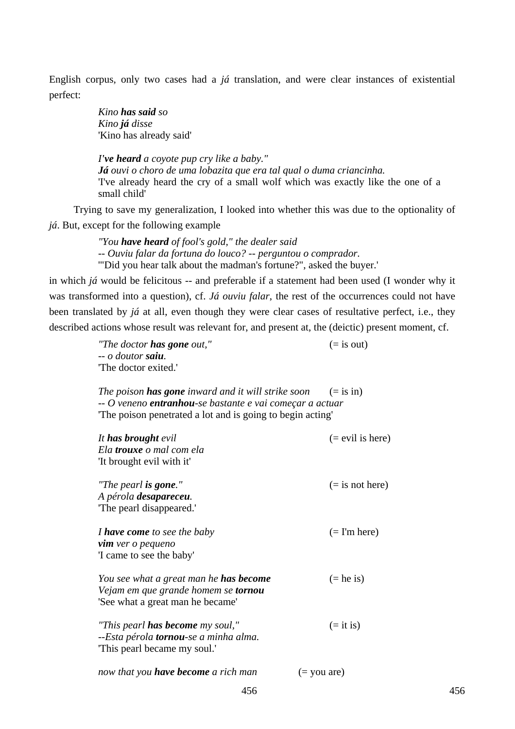English corpus, only two cases had a *já* translation, and were clear instances of existential perfect:

> *Kino has said so Kino já disse*  'Kino has already said'

*I've heard a coyote pup cry like a baby." Já ouvi o choro de uma lobazita que era tal qual o duma criancinha.*  'I've already heard the cry of a small wolf which was exactly like the one of a small child'

Trying to save my generalization, I looked into whether this was due to the optionality of *já*. But, except for the following example

> *"You have heard of fool's gold," the dealer said -- Ouviu falar da fortuna do louco? -- perguntou o comprador.*  '"Did you hear talk about the madman's fortune?", asked the buyer.'

in which *já* would be felicitous -- and preferable if a statement had been used (I wonder why it was transformed into a question), cf. *Já ouviu falar*, the rest of the occurrences could not have been translated by *já* at all, even though they were clear cases of resultative perfect, i.e., they described actions whose result was relevant for, and present at, the (deictic) present moment, cf.

> *"The doctor has gone out,"*  $(=\text{is out})$ *-- o doutor saiu.* 'The doctor exited.'

*The poison has gone inward and it will strike soon*  $(=\text{is in})$ *-- O veneno entranhou-se bastante e vai começar a actuar*  'The poison penetrated a lot and is going to begin acting'

| It has brought evil<br>Ela trouxe o mal com ela | $(=$ evil is here)      |
|-------------------------------------------------|-------------------------|
| 'It brought evil with it'                       |                         |
| "The pearl <b>is gone</b> ."                    | $(=$ is not here)       |
| A pérola desapareceu.                           |                         |
| The pearl disappeared.                          |                         |
| I have come to see the baby                     | $(=\mathrm{I'm\,here})$ |
| <b>vim</b> ver o pequeno                        |                         |
| 'I came to see the baby'                        |                         |
| You see what a great man he <b>has become</b>   | $(=$ he is)             |
| Vejam em que grande homem se tornou             |                         |
| 'See what a great man he became'                |                         |
| "This pearl <b>has become</b> my soul,"         | $(=$ it is)             |
| --Esta pérola <b>tornou</b> -se a minha alma.   |                         |
| This pearl became my soul.                      |                         |
| now that you <b>have become</b> a rich man      | $(=$ you are)           |
|                                                 |                         |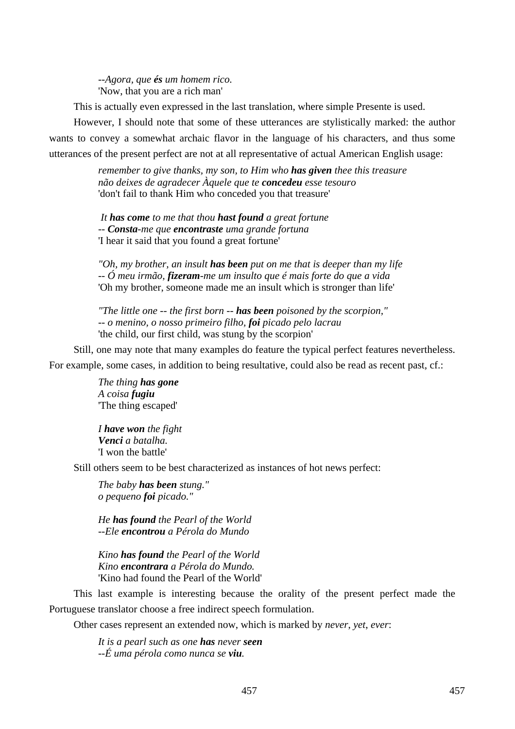*--Agora, que és um homem rico.*  'Now, that you are a rich man'

This is actually even expressed in the last translation, where simple Presente is used.

However, I should note that some of these utterances are stylistically marked: the author wants to convey a somewhat archaic flavor in the language of his characters, and thus some utterances of the present perfect are not at all representative of actual American English usage:

> *remember to give thanks, my son, to Him who has given thee this treasure não deixes de agradecer Àquele que te concedeu esse tesouro*  'don't fail to thank Him who conceded you that treasure'

 *It has come to me that thou hast found a great fortune -- Consta-me que encontraste uma grande fortuna*  'I hear it said that you found a great fortune'

*"Oh, my brother, an insult has been put on me that is deeper than my life -- Ó meu irmão, fizeram-me um insulto que é mais forte do que a vida*  'Oh my brother, someone made me an insult which is stronger than life'

*"The little one -- the first born -- has been poisoned by the scorpion," -- o menino, o nosso primeiro filho, foi picado pelo lacrau*  'the child, our first child, was stung by the scorpion'

Still, one may note that many examples do feature the typical perfect features nevertheless. For example, some cases, in addition to being resultative, could also be read as recent past, cf.:

> *The thing has gone A coisa fugiu*  'The thing escaped'

*I have won the fight Venci a batalha.*  'I won the battle'

Still others seem to be best characterized as instances of hot news perfect:

*The baby has been stung." o pequeno foi picado."* 

*He has found the Pearl of the World --Ele encontrou a Pérola do Mundo* 

*Kino has found the Pearl of the World Kino encontrara a Pérola do Mundo.*  'Kino had found the Pearl of the World'

This last example is interesting because the orality of the present perfect made the Portuguese translator choose a free indirect speech formulation.

Other cases represent an extended now, which is marked by *never*, *yet*, *ever*:

*It is a pearl such as one has never seen --É uma pérola como nunca se viu.*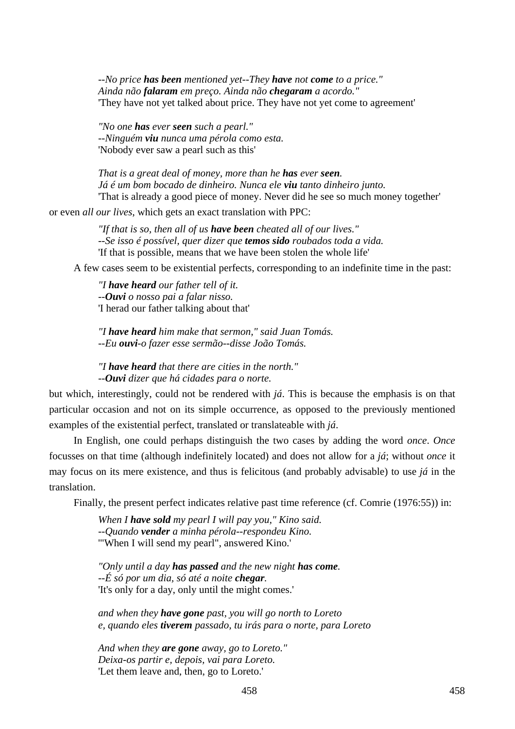*--No price has been mentioned yet--They have not come to a price." Ainda não falaram em preço. Ainda não chegaram a acordo."*  'They have not yet talked about price. They have not yet come to agreement'

*"No one has ever seen such a pearl." --Ninguém viu nunca uma pérola como esta.*  'Nobody ever saw a pearl such as this'

*That is a great deal of money, more than he has ever seen. Já é um bom bocado de dinheiro. Nunca ele viu tanto dinheiro junto.*  'That is already a good piece of money. Never did he see so much money together'

or even *all our lives*, which gets an exact translation with PPC:

*"If that is so, then all of us have been cheated all of our lives." --Se isso é possível, quer dizer que temos sido roubados toda a vida.*  'If that is possible, means that we have been stolen the whole life'

A few cases seem to be existential perfects, corresponding to an indefinite time in the past:

*"I have heard our father tell of it. --Ouvi o nosso pai a falar nisso.*  'I herad our father talking about that'

*"I have heard him make that sermon," said Juan Tomás. --Eu ouvi-o fazer esse sermão--disse João Tomás.* 

*"I have heard that there are cities in the north." --Ouvi dizer que há cidades para o norte.* 

but which, interestingly, could not be rendered with *já*. This is because the emphasis is on that particular occasion and not on its simple occurrence, as opposed to the previously mentioned examples of the existential perfect, translated or translateable with *já*.

In English, one could perhaps distinguish the two cases by adding the word *once*. *Once* focusses on that time (although indefinitely located) and does not allow for a *já*; without *once* it may focus on its mere existence, and thus is felicitous (and probably advisable) to use *já* in the translation.

Finally, the present perfect indicates relative past time reference (cf. Comrie (1976:55)) in:

*When I have sold my pearl I will pay you," Kino said. --Quando vender a minha pérola--respondeu Kino.*  '"When I will send my pearl", answered Kino.'

*"Only until a day has passed and the new night has come. --É só por um dia, só até a noite chegar.*  'It's only for a day, only until the might comes.'

*and when they have gone past, you will go north to Loreto e, quando eles tiverem passado, tu irás para o norte, para Loreto* 

*And when they are gone away, go to Loreto." Deixa-os partir e, depois, vai para Loreto.*  'Let them leave and, then, go to Loreto.'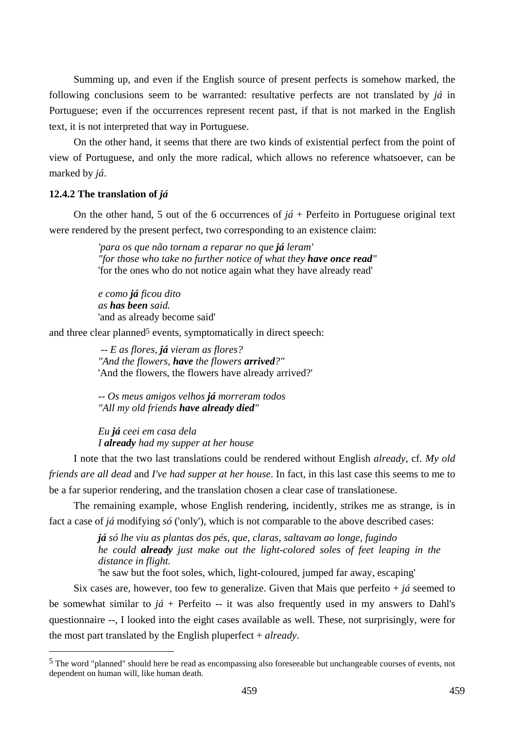Summing up, and even if the English source of present perfects is somehow marked, the following conclusions seem to be warranted: resultative perfects are not translated by *já* in Portuguese; even if the occurrences represent recent past, if that is not marked in the English text, it is not interpreted that way in Portuguese.

On the other hand, it seems that there are two kinds of existential perfect from the point of view of Portuguese, and only the more radical, which allows no reference whatsoever, can be marked by *já*.

### **12.4.2 The translation of** *já*

 $\overline{a}$ 

On the other hand, 5 out of the 6 occurrences of  $i\acute{a}$  + Perfeito in Portuguese original text were rendered by the present perfect, two corresponding to an existence claim:

> *'para os que não tornam a reparar no que já leram' "for those who take no further notice of what they have once read"*  'for the ones who do not notice again what they have already read'

*e como já ficou dito as has been said.*  'and as already become said'

and three clear planned<sup>5</sup> events, symptomatically in direct speech:

 *-- E as flores, já vieram as flores? "And the flowers, have the flowers arrived?"*  'And the flowers, the flowers have already arrived?'

*-- Os meus amigos velhos já morreram todos "All my old friends have already died"* 

*Eu já ceei em casa dela I already had my supper at her house* 

I note that the two last translations could be rendered without English *already*, cf. *My old friends are all dead* and *I've had supper at her house*. In fact, in this last case this seems to me to be a far superior rendering, and the translation chosen a clear case of translationese.

The remaining example, whose English rendering, incidently, strikes me as strange, is in fact a case of *já* modifying *só* ('only'), which is not comparable to the above described cases:

> *já só lhe viu as plantas dos pés, que, claras, saltavam ao longe, fugindo he could already just make out the light-colored soles of feet leaping in the distance in flight.*

'he saw but the foot soles, which, light-coloured, jumped far away, escaping'

Six cases are, however, too few to generalize. Given that Mais que perfeito  $+ i \hat{a}$  seemed to be somewhat similar to  $j\acute{a}$  + Perfeito -- it was also frequently used in my answers to Dahl's questionnaire --, I looked into the eight cases available as well. These, not surprisingly, were for the most part translated by the English pluperfect + *already*.

<sup>5</sup> The word "planned" should here be read as encompassing also foreseeable but unchangeable courses of events, not dependent on human will, like human death.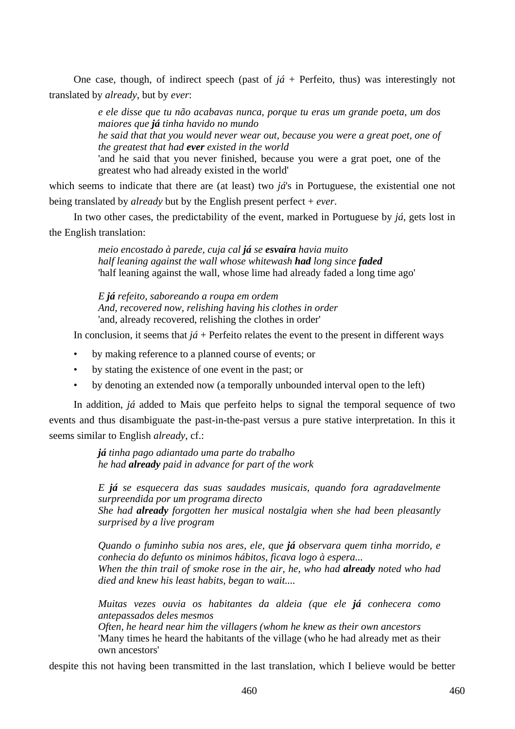One case, though, of indirect speech (past of  $j\acute{a}$  + Perfeito, thus) was interestingly not translated by *already*, but by *ever*:

> *e ele disse que tu não acabavas nunca, porque tu eras um grande poeta, um dos maiores que já tinha havido no mundo he said that that you would never wear out, because you were a great poet, one of the greatest that had ever existed in the world*

> 'and he said that you never finished, because you were a grat poet, one of the greatest who had already existed in the world'

which seems to indicate that there are (at least) two *já*'s in Portuguese, the existential one not being translated by *already* but by the English present perfect + *ever*.

In two other cases, the predictability of the event, marked in Portuguese by *já*, gets lost in the English translation:

> *meio encostado à parede, cuja cal já se esvaíra havia muito half leaning against the wall whose whitewash had long since faded* 'half leaning against the wall, whose lime had already faded a long time ago'

*E já refeito, saboreando a roupa em ordem And, recovered now, relishing having his clothes in order*  'and, already recovered, relishing the clothes in order'

In conclusion, it seems that  $j\acute{a}$  + Perfeito relates the event to the present in different ways

- by making reference to a planned course of events; or
- by stating the existence of one event in the past; or
- by denoting an extended now (a temporally unbounded interval open to the left)

In addition, *já* added to Mais que perfeito helps to signal the temporal sequence of two events and thus disambiguate the past-in-the-past versus a pure stative interpretation. In this it seems similar to English *already*, cf.:

> *já tinha pago adiantado uma parte do trabalho he had already paid in advance for part of the work*

*E já se esquecera das suas saudades musicais, quando fora agradavelmente surpreendida por um programa directo She had already forgotten her musical nostalgia when she had been pleasantly surprised by a live program* 

*Quando o fuminho subia nos ares, ele, que já observara quem tinha morrido, e conhecia do defunto os minimos hábitos, ficava logo à espera... When the thin trail of smoke rose in the air, he, who had already noted who had died and knew his least habits, began to wait....* 

*Muitas vezes ouvia os habitantes da aldeia (que ele já conhecera como antepassados deles mesmos* 

*Often, he heard near him the villagers (whom he knew as their own ancestors*  'Many times he heard the habitants of the village (who he had already met as their own ancestors'

despite this not having been transmitted in the last translation, which I believe would be better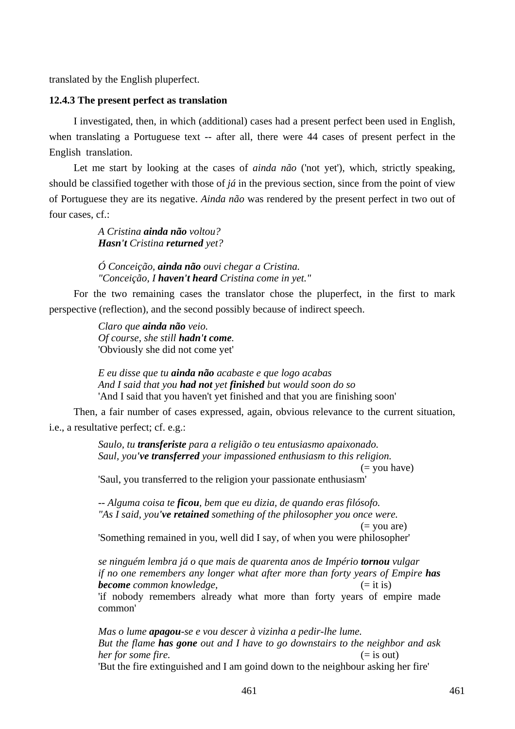translated by the English pluperfect.

# **12.4.3 The present perfect as translation**

I investigated, then, in which (additional) cases had a present perfect been used in English, when translating a Portuguese text -- after all, there were 44 cases of present perfect in the English translation.

Let me start by looking at the cases of *ainda não* ('not yet'), which, strictly speaking, should be classified together with those of *já* in the previous section, since from the point of view of Portuguese they are its negative. *Ainda não* was rendered by the present perfect in two out of four cases, cf.:

> *A Cristina ainda não voltou? Hasn't Cristina returned yet?*

*Ó Conceição, ainda não ouvi chegar a Cristina. "Conceição, I haven't heard Cristina come in yet."* 

For the two remaining cases the translator chose the pluperfect, in the first to mark perspective (reflection), and the second possibly because of indirect speech.

> *Claro que ainda não veio. Of course, she still hadn't come.*  'Obviously she did not come yet'

*E eu disse que tu ainda não acabaste e que logo acabas And I said that you had not yet finished but would soon do so*  'And I said that you haven't yet finished and that you are finishing soon'

Then, a fair number of cases expressed, again, obvious relevance to the current situation, i.e., a resultative perfect; cf. e.g.:

> *Saulo, tu transferiste para a religião o teu entusiasmo apaixonado. Saul, you've transferred your impassioned enthusiasm to this religion.*  (= you have) 'Saul, you transferred to the religion your passionate enthusiasm'

*-- Alguma coisa te ficou, bem que eu dizia, de quando eras filósofo. "As I said, you've retained something of the philosopher you once were.*   $($  = you are)

'Something remained in you, well did I say, of when you were philosopher'

*se ninguém lembra já o que mais de quarenta anos de Império tornou vulgar if no one remembers any longer what after more than forty years of Empire has* **become** common knowledge,  $(= it is)$ 'if nobody remembers already what more than forty years of empire made common'

*Mas o lume apagou-se e vou descer à vizinha a pedir-lhe lume. But the flame has gone out and I have to go downstairs to the neighbor and ask her for some fire.* (= is out) 'But the fire extinguished and I am goind down to the neighbour asking her fire'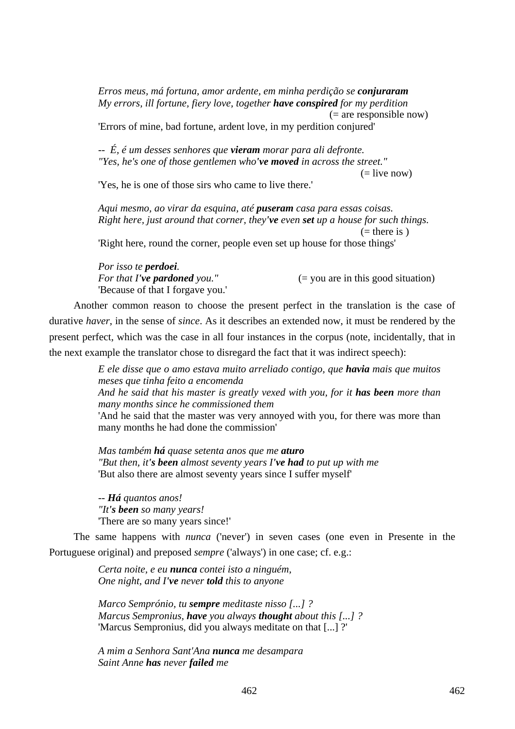*Erros meus, má fortuna, amor ardente, em minha perdição se conjuraram My errors, ill fortune, fiery love, together have conspired for my perdition*   $(=$  are responsible now)

'Errors of mine, bad fortune, ardent love, in my perdition conjured'

*-- É, é um desses senhores que vieram morar para ali defronte. "Yes, he's one of those gentlemen who've moved in across the street."*   $(=\text{live now})$ 

'Yes, he is one of those sirs who came to live there.'

*Aqui mesmo, ao virar da esquina, até puseram casa para essas coisas. Right here, just around that corner, they've even set up a house for such things.*   $($ = there is  $)$ 

'Right here, round the corner, people even set up house for those things'

*Por isso te perdoei.*  'Because of that I forgave you.'

*For that I've pardoned you."* (= you are in this good situation)

Another common reason to choose the present perfect in the translation is the case of durative *haver*, in the sense of *since*. As it describes an extended now, it must be rendered by the present perfect, which was the case in all four instances in the corpus (note, incidentally, that in the next example the translator chose to disregard the fact that it was indirect speech):

> *E ele disse que o amo estava muito arreliado contigo, que havia mais que muitos meses que tinha feito a encomenda And he said that his master is greatly vexed with you, for it has been more than many months since he commissioned them*

> 'And he said that the master was very annoyed with you, for there was more than many months he had done the commission'

*Mas também há quase setenta anos que me aturo "But then, it's been almost seventy years I've had to put up with me*  'But also there are almost seventy years since I suffer myself'

*-- Há quantos anos! "It's been so many years!*  'There are so many years since!'

The same happens with *nunca* ('never') in seven cases (one even in Presente in the Portuguese original) and preposed *sempre* ('always') in one case; cf. e.g.:

> *Certa noite, e eu nunca contei isto a ninguém, One night, and I've never told this to anyone*

*Marco Semprónio, tu sempre meditaste nisso [...] ? Marcus Sempronius, have you always thought about this [...] ?*  'Marcus Sempronius, did you always meditate on that [...] ?'

*A mim a Senhora Sant'Ana nunca me desampara Saint Anne has never failed me*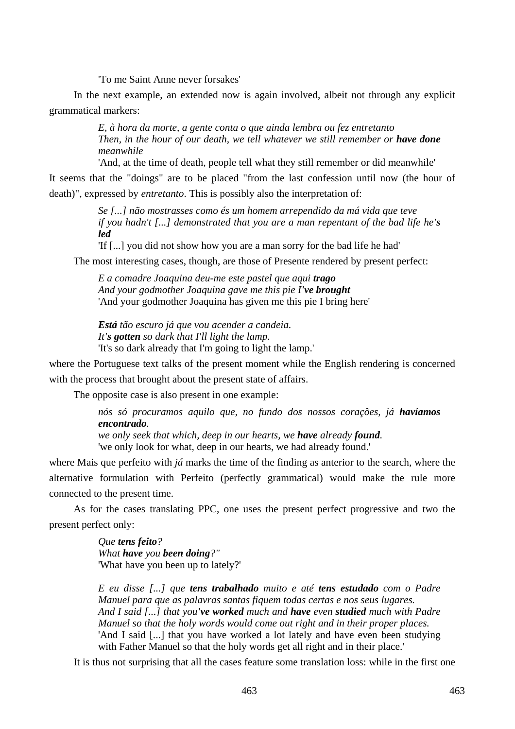'To me Saint Anne never forsakes'

In the next example, an extended now is again involved, albeit not through any explicit grammatical markers:

> *E, à hora da morte, a gente conta o que ainda lembra ou fez entretanto Then, in the hour of our death, we tell whatever we still remember or have done meanwhile*

'And, at the time of death, people tell what they still remember or did meanwhile'

It seems that the "doings" are to be placed "from the last confession until now (the hour of death)", expressed by *entretanto*. This is possibly also the interpretation of:

> *Se [...] não mostrasses como és um homem arrependido da má vida que teve if you hadn't [...] demonstrated that you are a man repentant of the bad life he's led*

'If [...] you did not show how you are a man sorry for the bad life he had'

The most interesting cases, though, are those of Presente rendered by present perfect:

*E a comadre Joaquina deu-me este pastel que aqui trago And your godmother Joaquina gave me this pie I've brought*  'And your godmother Joaquina has given me this pie I bring here'

*Está tão escuro já que vou acender a candeia. It's gotten so dark that I'll light the lamp.*  'It's so dark already that I'm going to light the lamp.'

where the Portuguese text talks of the present moment while the English rendering is concerned with the process that brought about the present state of affairs.

The opposite case is also present in one example:

*nós só procuramos aquilo que, no fundo dos nossos corações, já havíamos encontrado.* 

*we only seek that which, deep in our hearts, we have already found.*  'we only look for what, deep in our hearts, we had already found.'

where Mais que perfeito with *já* marks the time of the finding as anterior to the search, where the alternative formulation with Perfeito (perfectly grammatical) would make the rule more connected to the present time.

As for the cases translating PPC, one uses the present perfect progressive and two the present perfect only:

> *Que tens feito? What have you been doing?"*  'What have you been up to lately?'

*E eu disse [...] que tens trabalhado muito e até tens estudado com o Padre Manuel para que as palavras santas fiquem todas certas e nos seus lugares. And I said [...] that you've worked much and have even studied much with Padre Manuel so that the holy words would come out right and in their proper places.*  'And I said [...] that you have worked a lot lately and have even been studying with Father Manuel so that the holy words get all right and in their place.'

It is thus not surprising that all the cases feature some translation loss: while in the first one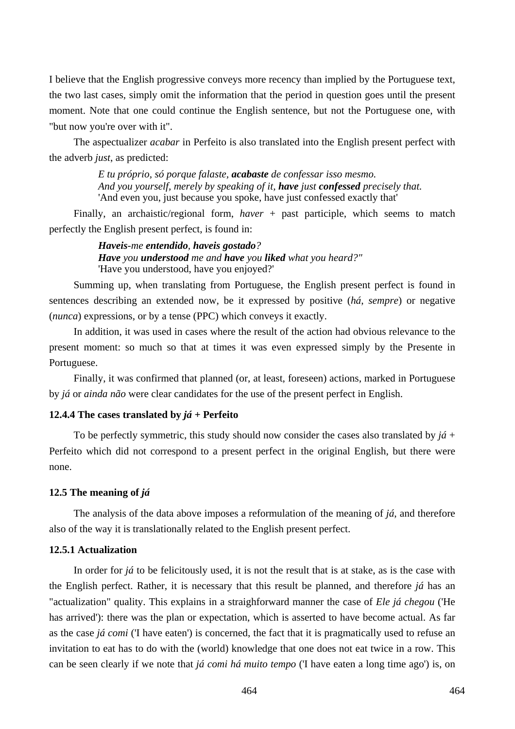I believe that the English progressive conveys more recency than implied by the Portuguese text, the two last cases, simply omit the information that the period in question goes until the present moment. Note that one could continue the English sentence, but not the Portuguese one, with "but now you're over with it".

The aspectualizer *acabar* in Perfeito is also translated into the English present perfect with the adverb *just*, as predicted:

> *E tu próprio, só porque falaste, acabaste de confessar isso mesmo. And you yourself, merely by speaking of it, have just confessed precisely that.*  'And even you, just because you spoke, have just confessed exactly that'

Finally, an archaistic/regional form, *haver* + past participle, which seems to match perfectly the English present perfect, is found in:

> *Haveis-me entendido, haveis gostado? Have you understood me and have you liked what you heard?"*  'Have you understood, have you enjoyed?'

Summing up, when translating from Portuguese, the English present perfect is found in sentences describing an extended now, be it expressed by positive (*há*, *sempre*) or negative (*nunca*) expressions, or by a tense (PPC) which conveys it exactly.

In addition, it was used in cases where the result of the action had obvious relevance to the present moment: so much so that at times it was even expressed simply by the Presente in Portuguese.

Finally, it was confirmed that planned (or, at least, foreseen) actions, marked in Portuguese by *já* or *ainda não* were clear candidates for the use of the present perfect in English.

# **12.4.4 The cases translated by** *já* **+ Perfeito**

To be perfectly symmetric, this study should now consider the cases also translated by *já* + Perfeito which did not correspond to a present perfect in the original English, but there were none.

#### **12.5 The meaning of** *já*

The analysis of the data above imposes a reformulation of the meaning of *já*, and therefore also of the way it is translationally related to the English present perfect.

#### **12.5.1 Actualization**

In order for *já* to be felicitously used, it is not the result that is at stake, as is the case with the English perfect. Rather, it is necessary that this result be planned, and therefore *já* has an "actualization" quality. This explains in a straighforward manner the case of *Ele já chegou* ('He has arrived'): there was the plan or expectation, which is asserted to have become actual. As far as the case *já comi* ('I have eaten') is concerned, the fact that it is pragmatically used to refuse an invitation to eat has to do with the (world) knowledge that one does not eat twice in a row. This can be seen clearly if we note that *já comi há muito tempo* ('I have eaten a long time ago') is, on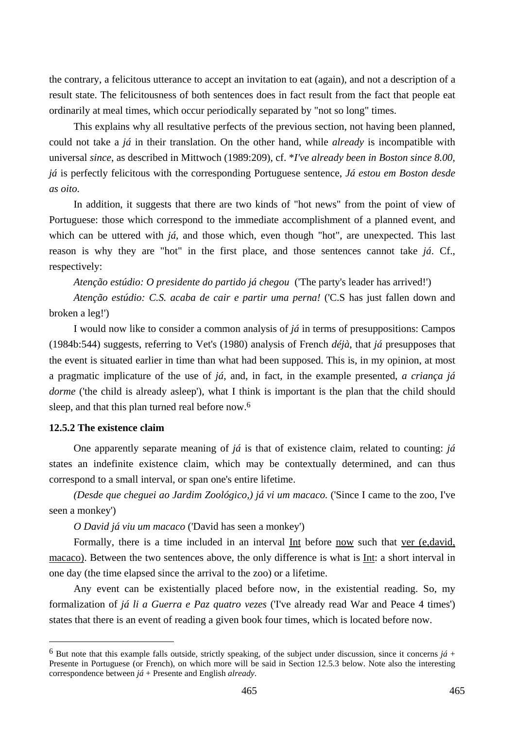the contrary, a felicitous utterance to accept an invitation to eat (again), and not a description of a result state. The felicitousness of both sentences does in fact result from the fact that people eat ordinarily at meal times, which occur periodically separated by "not so long" times.

This explains why all resultative perfects of the previous section, not having been planned, could not take a *já* in their translation. On the other hand, while *already* is incompatible with universal *since*, as described in Mittwoch (1989:209), cf. \**I've already been in Boston since 8.00*, *já* is perfectly felicitous with the corresponding Portuguese sentence, *Já estou em Boston desde as oito*.

In addition, it suggests that there are two kinds of "hot news" from the point of view of Portuguese: those which correspond to the immediate accomplishment of a planned event, and which can be uttered with *já*, and those which, even though "hot", are unexpected. This last reason is why they are "hot" in the first place, and those sentences cannot take *já*. Cf., respectively:

*Atenção estúdio: O presidente do partido já chegou* ('The party's leader has arrived!')

*Atenção estúdio: C.S. acaba de cair e partir uma perna!* ('C.S has just fallen down and broken a leg!')

I would now like to consider a common analysis of *já* in terms of presuppositions: Campos (1984b:544) suggests, referring to Vet's (1980) analysis of French *déjà*, that *já* presupposes that the event is situated earlier in time than what had been supposed. This is, in my opinion, at most a pragmatic implicature of the use of *já*, and, in fact, in the example presented, *a criança já dorme* ('the child is already asleep'), what I think is important is the plan that the child should sleep, and that this plan turned real before now.6

# **12.5.2 The existence claim**

 $\overline{a}$ 

One apparently separate meaning of *já* is that of existence claim, related to counting: *já* states an indefinite existence claim, which may be contextually determined, and can thus correspond to a small interval, or span one's entire lifetime.

*(Desde que cheguei ao Jardim Zoológico,) já vi um macaco.* ('Since I came to the zoo, I've seen a monkey')

*O David já viu um macaco* ('David has seen a monkey')

Formally, there is a time included in an interval Int before now such that ver (e,david, macaco). Between the two sentences above, the only difference is what is Int: a short interval in one day (the time elapsed since the arrival to the zoo) or a lifetime.

Any event can be existentially placed before now, in the existential reading. So, my formalization of *já li a Guerra e Paz quatro vezes* ('I've already read War and Peace 4 times') states that there is an event of reading a given book four times, which is located before now.

 $6$  But note that this example falls outside, strictly speaking, of the subject under discussion, since it concerns  $j\acute{a}$  + Presente in Portuguese (or French), on which more will be said in Section 12.5.3 below. Note also the interesting correspondence between *já* + Presente and English *already*.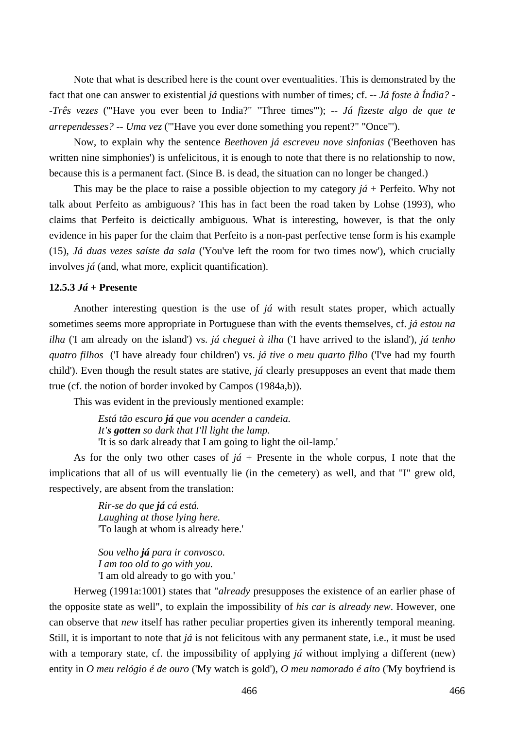Note that what is described here is the count over eventualities. This is demonstrated by the fact that one can answer to existential *já* questions with number of times; cf. *-- Já foste à Índia? - -Três vezes* ('"Have you ever been to India?" "Three times"'); *-- Já fizeste algo de que te arrependesses? -- Uma vez* ('"Have you ever done something you repent?" "Once"').

Now, to explain why the sentence *Beethoven já escreveu nove sinfonias* ('Beethoven has written nine simphonies') is unfelicitous, it is enough to note that there is no relationship to now, because this is a permanent fact. (Since B. is dead, the situation can no longer be changed.)

This may be the place to raise a possible objection to my category *já* + Perfeito. Why not talk about Perfeito as ambiguous? This has in fact been the road taken by Lohse (1993), who claims that Perfeito is deictically ambiguous. What is interesting, however, is that the only evidence in his paper for the claim that Perfeito is a non-past perfective tense form is his example (15), *Já duas vezes saíste da sala* ('You've left the room for two times now'), which crucially involves *já* (and, what more, explicit quantification).

### **12.5.3** *Já* **+ Presente**

Another interesting question is the use of *já* with result states proper, which actually sometimes seems more appropriate in Portuguese than with the events themselves, cf. *já estou na ilha* ('I am already on the island') vs. *já cheguei à ilha* ('I have arrived to the island'), *já tenho quatro filhos* ('I have already four children') vs. *já tive o meu quarto filho* ('I've had my fourth child'). Even though the result states are stative, *já* clearly presupposes an event that made them true (cf. the notion of border invoked by Campos (1984a,b)).

This was evident in the previously mentioned example:

*Está tão escuro já que vou acender a candeia. It's gotten so dark that I'll light the lamp.*  'It is so dark already that I am going to light the oil-lamp.'

As for the only two other cases of  $j\acute{a}$  + Presente in the whole corpus, I note that the implications that all of us will eventually lie (in the cemetery) as well, and that "I" grew old, respectively, are absent from the translation:

> *Rir-se do que já cá está. Laughing at those lying here.*  'To laugh at whom is already here.'

*Sou velho já para ir convosco. I am too old to go with you.*  'I am old already to go with you.'

Herweg (1991a:1001) states that "*already* presupposes the existence of an earlier phase of the opposite state as well", to explain the impossibility of *his car is already new*. However, one can observe that *new* itself has rather peculiar properties given its inherently temporal meaning. Still, it is important to note that *já* is not felicitous with any permanent state, i.e., it must be used with a temporary state, cf. the impossibility of applying *já* without implying a different (new) entity in *O meu relógio é de ouro* ('My watch is gold'), *O meu namorado é alto* ('My boyfriend is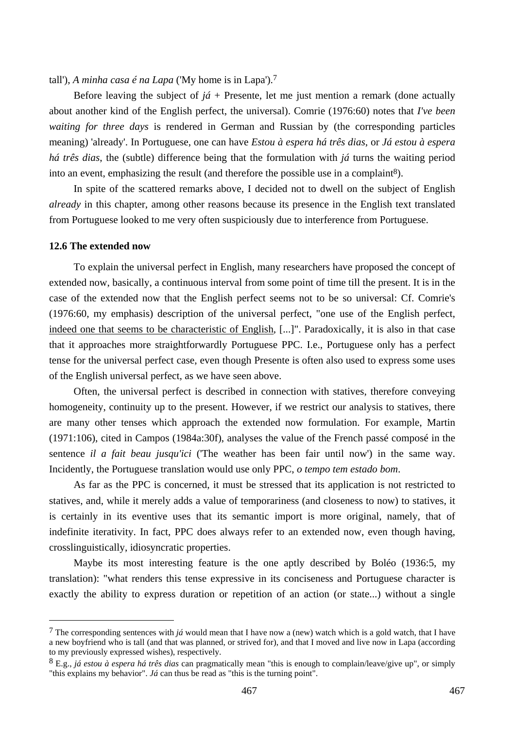tall'), *A minha casa é na Lapa* ('My home is in Lapa').7

Before leaving the subject of  $i\acute{a}$  + Presente, let me just mention a remark (done actually about another kind of the English perfect, the universal). Comrie (1976:60) notes that *I've been waiting for three days* is rendered in German and Russian by (the corresponding particles meaning) 'already'. In Portuguese, one can have *Estou à espera há três dias*, or *Já estou à espera há três dias*, the (subtle) difference being that the formulation with *já* turns the waiting period into an event, emphasizing the result (and therefore the possible use in a complaint<sup>8</sup>).

In spite of the scattered remarks above, I decided not to dwell on the subject of English *already* in this chapter, among other reasons because its presence in the English text translated from Portuguese looked to me very often suspiciously due to interference from Portuguese.

### **12.6 The extended now**

 $\overline{a}$ 

To explain the universal perfect in English, many researchers have proposed the concept of extended now, basically, a continuous interval from some point of time till the present. It is in the case of the extended now that the English perfect seems not to be so universal: Cf. Comrie's (1976:60, my emphasis) description of the universal perfect, "one use of the English perfect, indeed one that seems to be characteristic of English, [...]". Paradoxically, it is also in that case that it approaches more straightforwardly Portuguese PPC. I.e., Portuguese only has a perfect tense for the universal perfect case, even though Presente is often also used to express some uses of the English universal perfect, as we have seen above.

Often, the universal perfect is described in connection with statives, therefore conveying homogeneity, continuity up to the present. However, if we restrict our analysis to statives, there are many other tenses which approach the extended now formulation. For example, Martin (1971:106), cited in Campos (1984a:30f), analyses the value of the French passé composé in the sentence *il a fait beau jusqu'ici* ('The weather has been fair until now') in the same way. Incidently, the Portuguese translation would use only PPC, *o tempo tem estado bom*.

As far as the PPC is concerned, it must be stressed that its application is not restricted to statives, and, while it merely adds a value of temporariness (and closeness to now) to statives, it is certainly in its eventive uses that its semantic import is more original, namely, that of indefinite iterativity. In fact, PPC does always refer to an extended now, even though having, crosslinguistically, idiosyncratic properties.

Maybe its most interesting feature is the one aptly described by Boléo (1936:5, my translation): "what renders this tense expressive in its conciseness and Portuguese character is exactly the ability to express duration or repetition of an action (or state...) without a single

<sup>7</sup> The corresponding sentences with *já* would mean that I have now a (new) watch which is a gold watch, that I have a new boyfriend who is tall (and that was planned, or strived for), and that I moved and live now in Lapa (according to my previously expressed wishes), respectively.

<sup>8</sup> E.g., *já estou à espera há três dias* can pragmatically mean "this is enough to complain/leave/give up", or simply "this explains my behavior". *Já* can thus be read as "this is the turning point".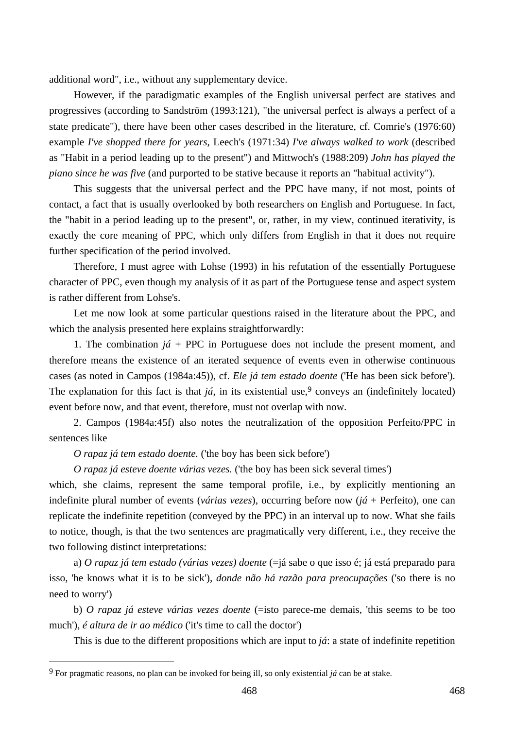additional word", i.e., without any supplementary device.

However, if the paradigmatic examples of the English universal perfect are statives and progressives (according to Sandström (1993:121), "the universal perfect is always a perfect of a state predicate"), there have been other cases described in the literature, cf. Comrie's (1976:60) example *I've shopped there for years*, Leech's (1971:34) *I've always walked to work* (described as "Habit in a period leading up to the present") and Mittwoch's (1988:209) *John has played the piano since he was five* (and purported to be stative because it reports an "habitual activity").

This suggests that the universal perfect and the PPC have many, if not most, points of contact, a fact that is usually overlooked by both researchers on English and Portuguese. In fact, the "habit in a period leading up to the present", or, rather, in my view, continued iterativity, is exactly the core meaning of PPC, which only differs from English in that it does not require further specification of the period involved.

Therefore, I must agree with Lohse (1993) in his refutation of the essentially Portuguese character of PPC, even though my analysis of it as part of the Portuguese tense and aspect system is rather different from Lohse's.

Let me now look at some particular questions raised in the literature about the PPC, and which the analysis presented here explains straightforwardly:

1. The combination  $j\acute{a}$  + PPC in Portuguese does not include the present moment, and therefore means the existence of an iterated sequence of events even in otherwise continuous cases (as noted in Campos (1984a:45)), cf. *Ele já tem estado doente* ('He has been sick before'). The explanation for this fact is that  $j\acute{a}$ , in its existential use,<sup>9</sup> conveys an (indefinitely located) event before now, and that event, therefore, must not overlap with now.

2. Campos (1984a:45f) also notes the neutralization of the opposition Perfeito/PPC in sentences like

*O rapaz já tem estado doente.* ('the boy has been sick before')

*O rapaz já esteve doente várias vezes.* ('the boy has been sick several times')

which, she claims, represent the same temporal profile, i.e., by explicitly mentioning an indefinite plural number of events (*várias vezes*), occurring before now (*já* + Perfeito), one can replicate the indefinite repetition (conveyed by the PPC) in an interval up to now. What she fails to notice, though, is that the two sentences are pragmatically very different, i.e., they receive the two following distinct interpretations:

a) *O rapaz já tem estado (várias vezes) doente* (=já sabe o que isso é; já está preparado para isso, 'he knows what it is to be sick'), *donde não há razão para preocupações* ('so there is no need to worry')

b) *O rapaz já esteve várias vezes doente* (=isto parece-me demais, 'this seems to be too much'), *é altura de ir ao médico* ('it's time to call the doctor')

This is due to the different propositions which are input to *já*: a state of indefinite repetition

<sup>9</sup> For pragmatic reasons, no plan can be invoked for being ill, so only existential *já* can be at stake.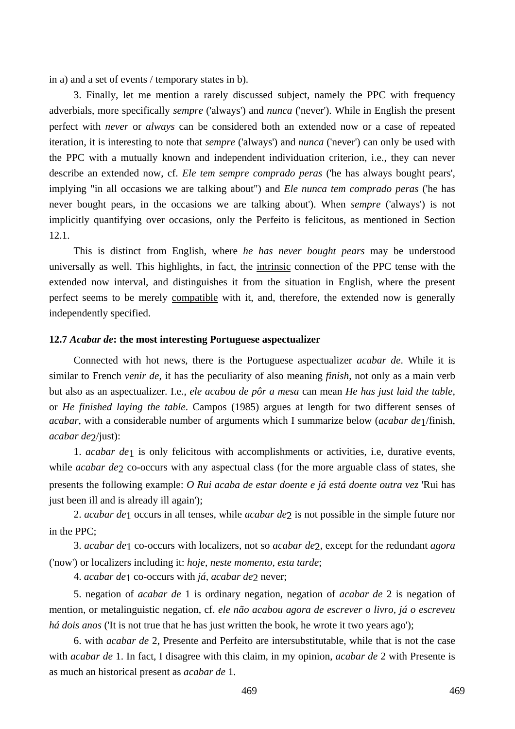in a) and a set of events / temporary states in b).

3. Finally, let me mention a rarely discussed subject, namely the PPC with frequency adverbials, more specifically *sempre* ('always') and *nunca* ('never'). While in English the present perfect with *never* or *always* can be considered both an extended now or a case of repeated iteration, it is interesting to note that *sempre* ('always') and *nunca* ('never') can only be used with the PPC with a mutually known and independent individuation criterion, i.e., they can never describe an extended now, cf. *Ele tem sempre comprado peras* ('he has always bought pears', implying "in all occasions we are talking about") and *Ele nunca tem comprado peras* ('he has never bought pears, in the occasions we are talking about'). When *sempre* ('always') is not implicitly quantifying over occasions, only the Perfeito is felicitous, as mentioned in Section 12.1.

This is distinct from English, where *he has never bought pears* may be understood universally as well. This highlights, in fact, the intrinsic connection of the PPC tense with the extended now interval, and distinguishes it from the situation in English, where the present perfect seems to be merely compatible with it, and, therefore, the extended now is generally independently specified.

#### **12.7** *Acabar de***: the most interesting Portuguese aspectualizer**

Connected with hot news, there is the Portuguese aspectualizer *acabar de*. While it is similar to French *venir de*, it has the peculiarity of also meaning *finish*, not only as a main verb but also as an aspectualizer. I.e., *ele acabou de pôr a mesa* can mean *He has just laid the table*, or *He finished laying the table*. Campos (1985) argues at length for two different senses of *acabar*, with a considerable number of arguments which I summarize below (*acabar de*1/finish, *acabar de* $2$ /just):

1. *acabar de*1 is only felicitous with accomplishments or activities, i.e, durative events, while *acabar de*<sub>2</sub> co-occurs with any aspectual class (for the more arguable class of states, she presents the following example: *O Rui acaba de estar doente e já está doente outra vez* 'Rui has just been ill and is already ill again');

2. *acabar de*1 occurs in all tenses, while *acabar de*2 is not possible in the simple future nor in the PPC;

3. *acabar de*1 co-occurs with localizers, not so *acabar de*2, except for the redundant *agora* ('now') or localizers including it: *hoje*, *neste momento*, *esta tarde*;

4. *acabar de*1 co-occurs with *já*, *acabar de*2 never;

5. negation of *acabar de* 1 is ordinary negation, negation of *acabar de* 2 is negation of mention, or metalinguistic negation, cf. *ele não acabou agora de escrever o livro, já o escreveu há dois anos* ('It is not true that he has just written the book, he wrote it two years ago');

6. with *acabar de* 2, Presente and Perfeito are intersubstitutable, while that is not the case with *acabar de* 1. In fact, I disagree with this claim, in my opinion, *acabar de* 2 with Presente is as much an historical present as *acabar de* 1.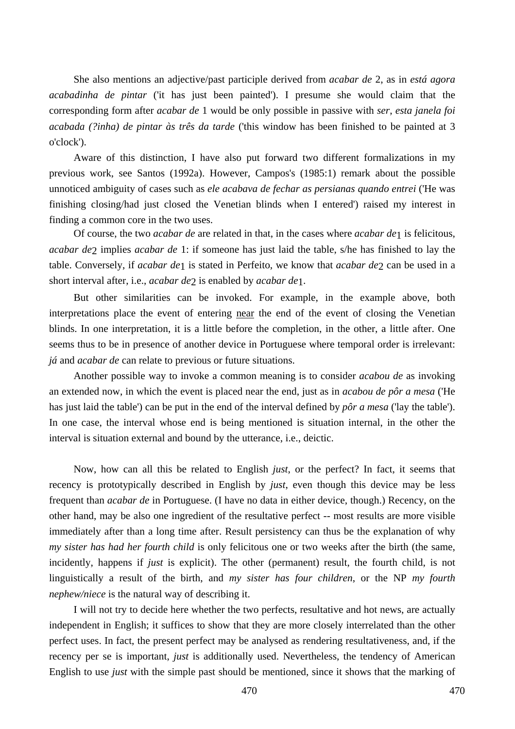She also mentions an adjective/past participle derived from *acabar de* 2, as in *está agora acabadinha de pintar* ('it has just been painted'). I presume she would claim that the corresponding form after *acabar de* 1 would be only possible in passive with *ser*, *esta janela foi acabada (?inha) de pintar às três da tarde* ('this window has been finished to be painted at 3 o'clock').

Aware of this distinction, I have also put forward two different formalizations in my previous work, see Santos (1992a). However, Campos's (1985:1) remark about the possible unnoticed ambiguity of cases such as *ele acabava de fechar as persianas quando entrei* ('He was finishing closing/had just closed the Venetian blinds when I entered') raised my interest in finding a common core in the two uses.

Of course, the two *acabar de* are related in that, in the cases where *acabar de*1 is felicitous, *acabar de*2 implies *acabar de* 1: if someone has just laid the table, s/he has finished to lay the table. Conversely, if *acabar de*1 is stated in Perfeito, we know that *acabar de*2 can be used in a short interval after, i.e., *acabar de*2 is enabled by *acabar de*1.

But other similarities can be invoked. For example, in the example above, both interpretations place the event of entering near the end of the event of closing the Venetian blinds. In one interpretation, it is a little before the completion, in the other, a little after. One seems thus to be in presence of another device in Portuguese where temporal order is irrelevant: *já* and *acabar de* can relate to previous or future situations.

Another possible way to invoke a common meaning is to consider *acabou de* as invoking an extended now, in which the event is placed near the end, just as in *acabou de pôr a mesa* ('He has just laid the table') can be put in the end of the interval defined by *pôr a mesa* ('lay the table'). In one case, the interval whose end is being mentioned is situation internal, in the other the interval is situation external and bound by the utterance, i.e., deictic.

Now, how can all this be related to English *just*, or the perfect? In fact, it seems that recency is prototypically described in English by *just*, even though this device may be less frequent than *acabar de* in Portuguese. (I have no data in either device, though.) Recency, on the other hand, may be also one ingredient of the resultative perfect -- most results are more visible immediately after than a long time after. Result persistency can thus be the explanation of why *my sister has had her fourth child* is only felicitous one or two weeks after the birth (the same, incidently, happens if *just* is explicit). The other (permanent) result, the fourth child, is not linguistically a result of the birth, and *my sister has four children*, or the NP *my fourth nephew/niece* is the natural way of describing it.

I will not try to decide here whether the two perfects, resultative and hot news, are actually independent in English; it suffices to show that they are more closely interrelated than the other perfect uses. In fact, the present perfect may be analysed as rendering resultativeness, and, if the recency per se is important, *just* is additionally used. Nevertheless, the tendency of American English to use *just* with the simple past should be mentioned, since it shows that the marking of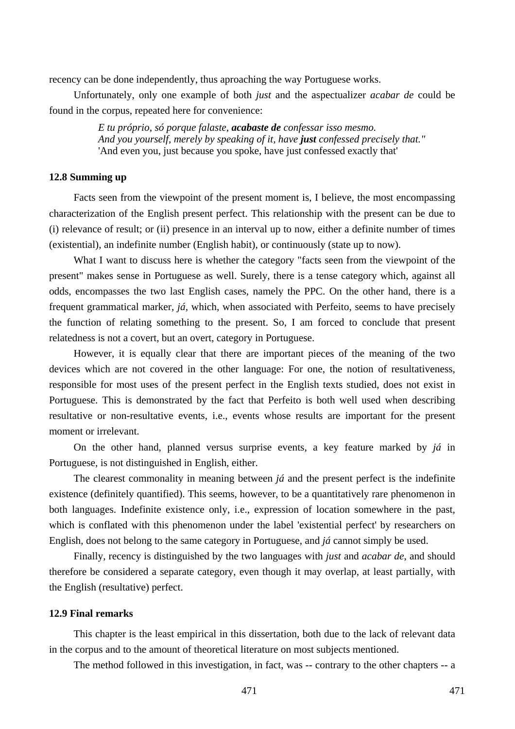recency can be done independently, thus aproaching the way Portuguese works.

Unfortunately, only one example of both *just* and the aspectualizer *acabar de* could be found in the corpus, repeated here for convenience:

> *E tu próprio, só porque falaste, acabaste de confessar isso mesmo. And you yourself, merely by speaking of it, have just confessed precisely that."*  'And even you, just because you spoke, have just confessed exactly that'

### **12.8 Summing up**

Facts seen from the viewpoint of the present moment is, I believe, the most encompassing characterization of the English present perfect. This relationship with the present can be due to (i) relevance of result; or (ii) presence in an interval up to now, either a definite number of times (existential), an indefinite number (English habit), or continuously (state up to now).

What I want to discuss here is whether the category "facts seen from the viewpoint of the present" makes sense in Portuguese as well. Surely, there is a tense category which, against all odds, encompasses the two last English cases, namely the PPC. On the other hand, there is a frequent grammatical marker, *já*, which, when associated with Perfeito, seems to have precisely the function of relating something to the present. So, I am forced to conclude that present relatedness is not a covert, but an overt, category in Portuguese.

However, it is equally clear that there are important pieces of the meaning of the two devices which are not covered in the other language: For one, the notion of resultativeness, responsible for most uses of the present perfect in the English texts studied, does not exist in Portuguese. This is demonstrated by the fact that Perfeito is both well used when describing resultative or non-resultative events, i.e., events whose results are important for the present moment or irrelevant.

On the other hand, planned versus surprise events, a key feature marked by *já* in Portuguese, is not distinguished in English, either.

The clearest commonality in meaning between *já* and the present perfect is the indefinite existence (definitely quantified). This seems, however, to be a quantitatively rare phenomenon in both languages. Indefinite existence only, i.e., expression of location somewhere in the past, which is conflated with this phenomenon under the label 'existential perfect' by researchers on English, does not belong to the same category in Portuguese, and *já* cannot simply be used.

Finally, recency is distinguished by the two languages with *just* and *acabar de*, and should therefore be considered a separate category, even though it may overlap, at least partially, with the English (resultative) perfect.

# **12.9 Final remarks**

This chapter is the least empirical in this dissertation, both due to the lack of relevant data in the corpus and to the amount of theoretical literature on most subjects mentioned.

The method followed in this investigation, in fact, was -- contrary to the other chapters -- a